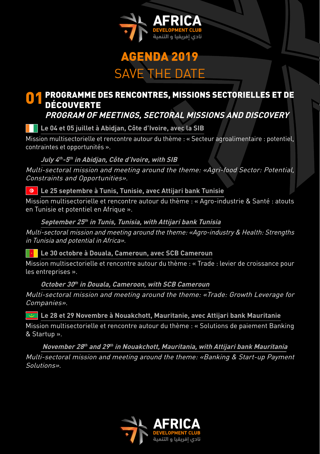

# AGENDA 2019 SAVE THE DATE

### O 1 PROGRAMME DES RENCONTRES, MISSIONS SECTORIELLES ET DE<br>DÉCOUVERTE DÉCOUVERTE **PROGRAM OF MEETINGS, SECTORAL MISSIONS AND DISCOVERY**

# **Le 04 et 05 juillet à Abidjan, Côte d'Ivoire, avec la SIB**

Mission multisectorielle et rencontre autour du thème : « Secteur agroalimentaire : potentiel, contraintes et opportunités ».

#### **July 4th -5th in Abidjan, Côte d'Ivoire, with SIB**

Multi-sectoral mission and meeting around the theme: «Agri-food Sector: Potential, Constraints and Opportunities».

 **Le 25 septembre à Tunis, Tunisie, avec Attijari bank Tunisie**

Mission multisectorielle et rencontre autour du thème : « Agro-industrie & Santé : atouts en Tunisie et potentiel en Afrique ».

#### **September 25th in Tunis, Tunisia, with Attijari bank Tunisia**

Multi-sectoral mission and meeting around the theme: «Agro-industry & Health: Strengths in Tunisia and potential in Africa».

 **Le 30 octobre à Douala, Cameroun, avec SCB Cameroun**

Mission multisectorielle et rencontre autour du thème : « Trade : levier de croissance pour les entreprises ».

 **October 30th in Douala, Cameroon, with SCB Cameroun**

Multi-sectoral mission and meeting around the theme: «Trade: Growth Leverage for Companies».

 **Le 28 et 29 Novembre à Nouakchott, Mauritanie, avec Attijari bank Mauritanie**

Mission multisectorielle et rencontre autour du thème : « Solutions de paiement Banking & Startup ».

**November 28th and 29th in Nouakchott, Mauritania, with Attijari bank Mauritania**

Multi-sectoral mission and meeting around the theme: «Banking & Start-up Payment Solutions».